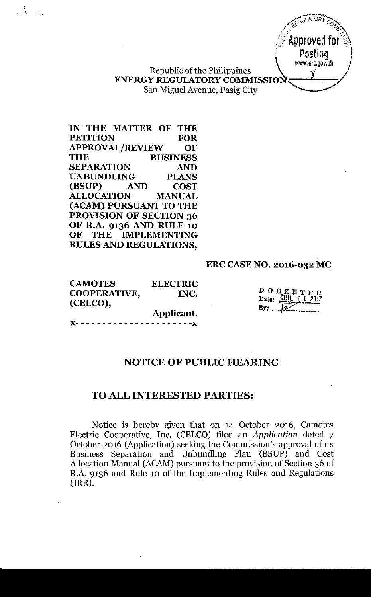Republic of the Philippines *'I \_ /* ENERGY REGULATORY COMMISSION San Miguel Avenue, Pasig City

IN THE MATTER OF THE PETITION FOR APPROVAL/REVIEW OF THE BUSINESS SEPARATION AND UNBUNDLING PLANS (BSUP) AND COST ALLOCATION MANUAL (ACAM) PURSUANT TO THE PROVISION OF SECTION 36 OF R.A. 9136 AND RULE 10 OF THE IMPLEMENTING RULES AND REGULATIONS,

 $\Lambda$   $\sim$   $\Omega$ 

# ERC CASENO. 2016-032 MC

CAMOTES ELECTRIC COOPERATIVE, INC. (CELCO), Applicant.

DOCKETED<br>Date: WUL 1 1 2017  $By: \mathcal{L}$ 

 $W$ ATO $\tilde{P}$ */\ 'r...* .:  $\mathscr{C}$  $\mathbb{F}_q$  Approved for  $\mathbb{F}_2^\times$ Posting l www.erc.gov.ph

 $- - - - - x$ 

# NOTICE OF PUBLIC HEARING

# TO ALL INTERESTED PARTIES:

Notice is hereby given that on 14 October 2016, Camotes Electric Cooperative, Inc. (CELCO) filed an *Application* dated 7 October 2016 (Application) seeking the Commission's approval of its Business Separation and Unbundling Plan (BSUP) and Cost Allocation Manual (ACAM) pursuant to the provision of Section 36 of R.A 9136 and Rule 10 of the Implementing Rules and Regulations (IRR).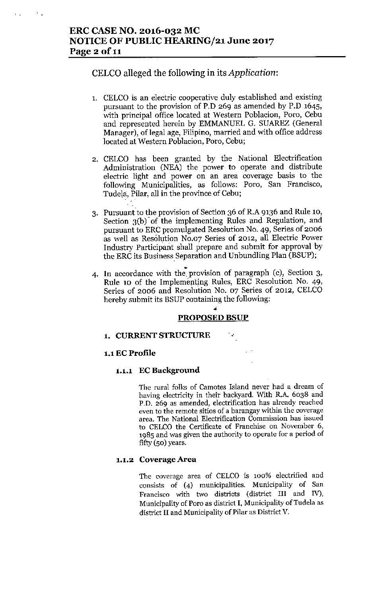# ERC CASE NO. 2016-032 MC NOTICE OF PUBLIC HEARING/21 June 2017 Page 2 of 11

 $\mathcal{F}_{\mathcal{A}}$ 

 $\mathbf{L}$ 

# CELCO alleged the following in its *Application:*

- 1. CELCO is an electric cooperative duly established and existing pursuant to the provision of P.D 269 as amended by P.D 1645, with principal office located at Western Poblacion, Poro, Cebu and represented herein by EMMANUEL G. SUAREZ (General Manager), of legal age, Filipino, married and with office address located at Western Poblacion, Poro, Cebu;
- 2. CELCO has been granted by the National Electrification Administration (NEA) the power to operate and distribute electric light and power on an area coverage basis to the following Municipalities, as follows: Poro, San Francisco, Tudela, Pilar, all in the province of Cebu:
- 3. Pursuant to the provision of Section 36 of R.A 9136 and Rule 10, Section 3(b)' of the implementing Rules and Regulation, and pursuant to ERC promulgated Resolution No. 49, Series of 2006 as well as Resolution No.o? Series of 2012, all Electric Power Industry Participant shall prepare and submit for approval by the ERC its Business Separation and Unbundling Plan (BSUP);
- 4. In accordance with the. provision of paragraph (c), Section 3, Rule 10 of the Implementing Rules, ERC Resolution No. 49, Series of 2006 and Resolution No. 07 Series of 2012, CELCO hereby submit its BSUP containing the following:

## • PROPOSED BSUP

#### 1. CURRENT STRUCTURE

#### 1.1EC Profile

#### 1.1.1 EC Background

The rural folks of Camotes Island never had a dream of having electricity in their backyard. With R.A. 6038 and P.D. 269 as amended, electrification has already reached even to the remote sitios of a barangay within the coverage area. The National Electrification Commission has issued to CELCO the Certificate of Franchise on November 6, 1985 and was given the authority to operate for a period of fifty (50) years.

#### 1.1.2 Coverage Area

The coverage area of CELCO is 100% electrified and consists of (4) municipalities. Municipality of San Francisco with two districts (district III and IV), Municipality of Poro as district I, Municipality of Tudela as district II and Municipality of Pilar as District V.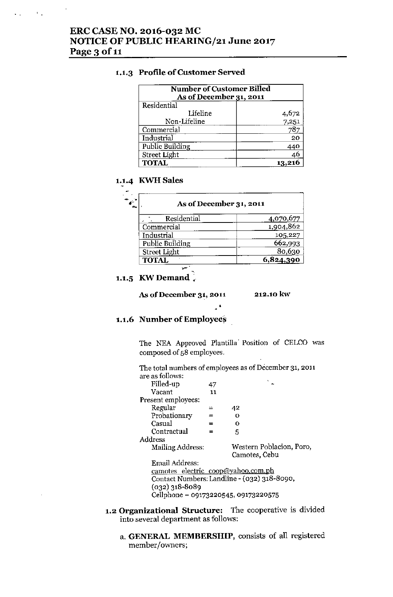$\mathcal{L}_{\text{eff}}$  and  $\mathcal{L}_{\text{eff}}$ 

#### 1.1.3 Profile of Customer Served

| <b>Number of Customer Billed</b><br>As of December 31, 2011 |                |
|-------------------------------------------------------------|----------------|
| Residential                                                 |                |
| Lifeline                                                    |                |
| Non-Lifeline                                                | 4,672<br>7,251 |
| Commercial                                                  | 787            |
| Industrial                                                  | 20             |
| Public Building                                             | 440            |
| <b>Street Light</b>                                         | 46             |
| <b>TOTAL</b>                                                |                |

# 1.1.4 KWH Sales

| As of December 31, 2011 |           |
|-------------------------|-----------|
| Residential             | 4,070,677 |
| Commercial              | 1,904,862 |
| Industrial              | 105,227   |
| Public Building         | 662,993   |
| <b>Street Light</b>     | 80,630    |
| <b>TOTAL</b>            | 6,824,390 |

•

# 1.1.5 KW Demand  $\frac{1}{4}$

As of Decemher **31,2011 212.10kw**

#### 1.1.6 Number of Employees

The NEA Approved Plantilla. Position of CELCO was composed of 58 employees.

The total numbers of employees as of December 31, 2011 are as follows:

| Filled-up                            | 47  |                                             |
|--------------------------------------|-----|---------------------------------------------|
| Vacant                               | 11  |                                             |
| Present employees:                   |     |                                             |
| Regular                              | ⋍   | 42                                          |
| Probationary                         |     | Ω                                           |
| Casual                               | $=$ | Ω                                           |
| Contractual                          | $=$ | 5                                           |
| Address                              |     |                                             |
| Mailing Address:                     |     | Western Poblacion, Poro,                    |
|                                      |     | Camotes, Cebu                               |
| Email Address:                       |     |                                             |
| camotes electric coop@yahoo.com.ph   |     |                                             |
|                                      |     | Contact Numbers: Landline - (032) 318-8090, |
| $(032)$ 318-8089                     |     |                                             |
| Cellphone - 09173220545, 09173220575 |     |                                             |
|                                      |     |                                             |
|                                      |     |                                             |

- **1.2 Organizational Structure:** The cooperative is divided into several department as follows:
	- a. GENERAL MEMBERSHIP, consists of all registered member/owners;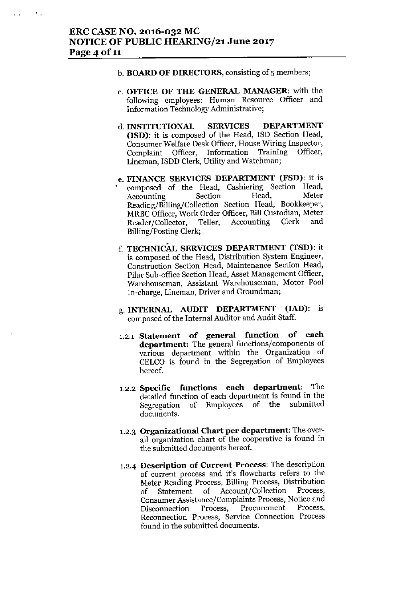$\mathcal{F}_{\mathcal{A}}$  .

- b. BOARD OF DIRECTORS, consisting of 5 members;
- c. OFFICE OF THE GENERAL MANAGER: with the following employees: Human Resource Officer and Information Technology Administrative;
- d. INSTITUTIONAL SERVICES DEPARTMENT (ISD): it is composed of the Head, ISD Section Head, Consumer Welfare Desk Officer, House Wiring Inspector, Complaint Officer, Information Training Officer, Lineman, ISDD Clerk, Utility and Watchman;
- e. FINANCE SERVICES DEPARTMENT (FSD): it is • composed of the Head, Cashiering Section Head, Accounting Section Head, Meter Reading/Billing/Collection Section Head, Bookkeeper, MRBC Officer, Work Order Officer, Bill Custodian, Meter Reader/Collector, Teller, Accounting Clerk and Billing/Posting Clerk;
- f. TECHNICAL SERVICES DEPARTMENT (TSD): it is composed of the Head, Distribution System Engineer, Construction Section Head, Maintenance Section Head, Pilar Sub-office Section Head, Asset Management Officer, Warehouseman, Assistant Warehouseman, Motor Pool In-charge, Lineman, Driver and Groundman;
- g. INTERNAL AUDIT DEPARTMENT (IAD): is composed of the Internal Auditor and Audit Staff.
- 1.2.1 **Statement of general function of each department:** The general functions/components of various department within the Organization of CELCO is found in the Segregation of Employees hereof.
- 1.2.2 **Specific functions each department:** The detailed function of each department is found in the Segregation of Employees of the submitted documents.
- 1.2.3 Organizational Chart per department: The overall organization chart of the cooperative is found in the submitted documents hereof.
- 1.2-4 **Description of Current Process:** The description of current process and it's flowcharts refers to the Meter Reading Process, Billing Process, Distribution of Statement of Account/Collection Process, Consumer Assistance/Complaints Process, Notice and Disconnection Process, Procurement Process, Reconnection Process, Service Connection Process found in the submitted documents.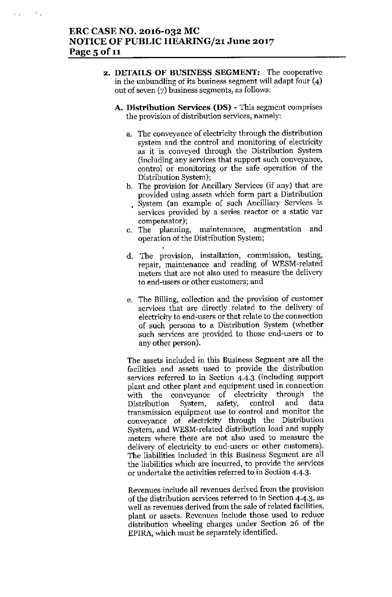٠.

- 2. DETAILS OF BUSINESS SEGMENT: The cooperative in the unbundling of its business segment will adapt four (4) out of seven (7) business segments, as follows:
	- A. Distribution Services (DS) This segment comprises the provision of distribution services, namely:
		- a. The conveyance of electricity through the distribution system and the control and monitoring of electricity as it is conveyed through the Distribution System (including any services that support such conveyance, control or monitoring or the safe operation of the Distribution System);
		- b. Tbe provision for Ancillary Services (if any) that are provided using assets which form part a Distribution ~ System (an example of such Ancilliary Services is services provided by a series reactor or a static var compensator);
		- c. The planning, maintenance, augmentation and operation of the Distribution System;
		- d. The proyision, installation, commission, testing, repair, maintenance and reading of WESM-related meters that are not also used to measure the delivery to end-users or other customers; and
		- e. The Billing, collection and the provision of customer services that are directly related to the delivery of electricity to end-users or that relate to the connection of such persons to a Distribution System (whether such services are provided to those end-users or to any other person).

The assets included in this Business Segment are all the facilities and assets used to provide the distribution services referred to in Section 4-4.3 (including support plant and other plant and equipment used in connection with the conveyance of electricity through the<br>Distribution System, safety, control and data Distribution System, safety, control and data transmission equipment use to control and monitor the conveyance of electricity through the Distribution System, and WESM-related distribution load and supply meters where these are not also used to measure the delivery of electricity to end-users or other customers). The liabilities included in this Business Segment are all the liabilities which are incurred, to provide the services or undertake the activities referred to in Section 4-4.3.

Revenues include all revenues derived from the provision of the distribution services referred to in Section 4.4.3, as well as revenues derived from the sale of related facilities, plant or assets. Revenues include those used to reduce distribution wheeling charges under Section 26 of the EPlRA, which must be separately identified.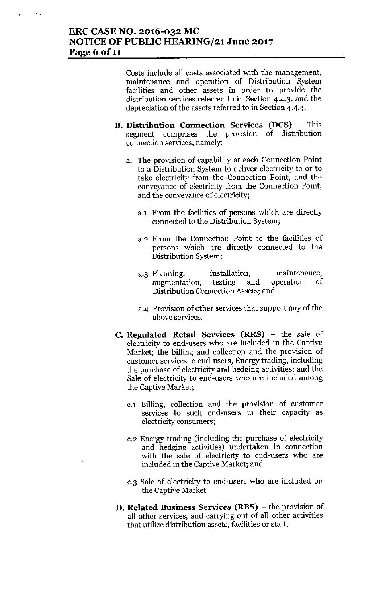$\mathcal{F}_{\mathcal{A}}$ 

Costs include all costs associated with the management, maintenance and operation of Distribution System facilities and other assets in order to provide the distribution services referred to in Section 4.4.3, and the depreciation of the assets referred to in Section 4.4.4.

- B. Distribution Connection Services (DCS) This segment comprises the provision of distribution connection services, namely:
	- a. The provision of capability at each Connection Point to a Distribution System to deliver electricity to or to take electricity from the Connection Point, and the conveyance of electricity from the Connection Point, and the conveyance of electricity;
		- a.I From the facilities of persons which are directly connected to the Distribution System;
		- a.2 From the Connection Point to the facilities of persons which are directly connected to the Distribution System;
		- a.3 Planning, installation, maintenance, augmentation, testing and operation of Distribution Connection Assets; and
		- a.4 Provision of other services that support any of the above services.
- C. Regulated Retail Services (RRS) the sale of electricity to end-users who are included in the Captive Market; the billing and collection and the provision of customer services to end-users; Energy trading, including the purchase of electricity and hedging activities; and the Sale of electricity to end-users who are included among the Captive Market;
	- c.1 Billing, collection and the provision of customer services to such end-users in their capacity as electricity consumers;
	- C.2 Energy trading (including the purchase of electricity and hedging activities) undertaken in connection with the sale of electricity to end-users who are included in the Captive Market; and
	- c.3 Sale of electricity to end-users who are included on the Captive Market
- D. Related Business Services (RBS) the provision of all other services, and carrying out of all other activities that utilize distribution assets, facilities or staff;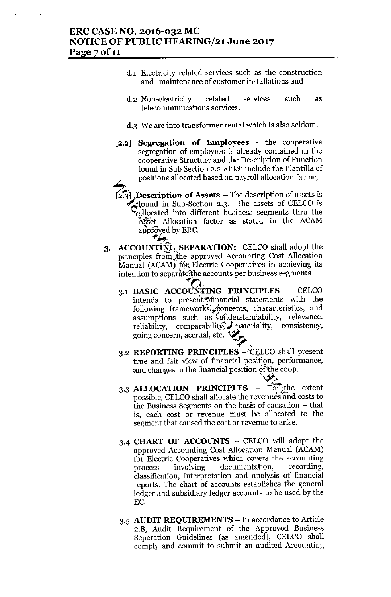$\mathcal{F}_{\mathbf{a}}$ 

- d.l Electricity related services such as the construction and maintenance of customer installations and
- d.2 Non-electricity related services telecommunications services. such as
- d.3 We are into transformer rental which is also seldom.
- [2.2] Segregation of Employees the cooperative segregation of employees is already contained in the cooperative Structure and the Description of Function found in Suh Section 2.2 which include the Plantilla of positions allocated based on payroll allocation factor;
	- $\overline{3}$ . **Description of Assets –** The description of assets is  $\epsilon$  found in Sub-Section 2.3. The assets of CELCO is rallocated into different business segments thru the Asset Allocation factor as stated in the ACAM approved by ERC.
- 3. ACCOUNTING SEPARATION: CELCO shall adopt the principles from the approved Accounting Cost Allocation Manual (ACAM) for Electric Cooperatives in achieving its intention to separate the accounts per business segments.
	- intention to separate the accounts per business segments.<br>
	3.1 BASIC ACCOUNTING PRINCIPLES CELCO intends to present financial statements with the following frameworks, concepts, characteristics, and assumptions such as understandability, relevance, reliability, comparability, materiality, consistency, going concern, accrual, etc. ~ ,..
	- 3.2 REPORTING PRINCIPLES  $-\sqrt{\text{CELCO}}$  shall present true and fair view of financial position, performance, and changes in the financial position of the coop.
	- 3.3 ALLOCATION PRINCIPLES  $\overline{10}$ , the extent possible, CELCO shall allocate the revenues and costs to the Business Segments on the basis of causation - that is, each cost or revenue must be allocated to the segment that caused the cost or revenue to arise.
	- 3.4 CHART OF ACCOUNTS CELCO will adopt the approved Accounting Cost Allocation Manual (ACAM) for Electric Cooperatives which covers the accounting process involving documentation, recording, classification, interpretation and analysis of financial reports. The chart of accounts establishes the general ledger and subsidiary ledger accounts to be used by the EC.
	- 3.5 AUDIT REQUIREMENTS In accordance to Article 2.8, Audit Requirement of the Approved Business Separation Guidelines (as amended), CELCO shall comply and commit to submit an audited Accounting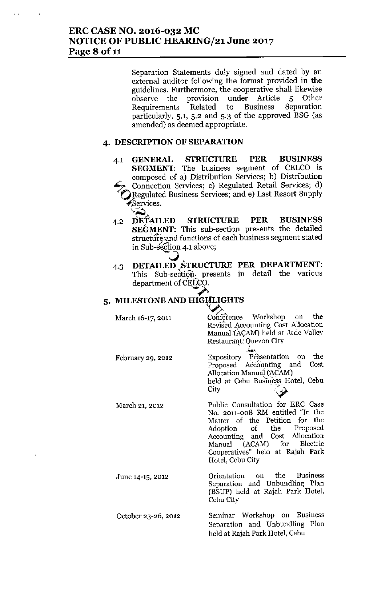Separation Statements duly signed and dated by an external auditor following the format provided in the guidelines. Furthermore, the cooperative shall likewise observe the provision under Article 5 Other Requirements Related to Business Separation particularly, 5.1, 5.2 and 5.3 of the approved BSG (as amended) as deemed appropriate.

#### 4. DESCRIPTION OF SEPARATION

- 4.1 GENERAL STRUCTURE PER BUSINESS SEGMENT: The business segment of CELCO is composed of a) Distribution Services; b) Distribution Connection Services; c) Regulated Retail Services; d) Regulated Business Services; and e) Last Resort Supply Services.
- 4.2 DETAILED STRUCTURE PER BUSINESS SEGMENT: This sub-section presents the detailed structure:and functions of each business segment stated in Sub-section 4.1 above;
- 4.3 DETAILED (STRUCTURE PER DEPARTMENT: This Sub-section. presents in detail the various department of CELCO.

# 5. MILESTONE AND HIGHLIGHT

March 16-17, 2011 Conference Workshop on the Revised: Accounting Cost Allocation Manual (ACAM) held at Jade Valley

February 29, 2012

March 21, 2012

Restaurant,' Quezon City Expository Presentation on the Proposed Accounting and Cost Allocation Manuai (ACAM)

held at Cebu Business Hotel, Cebu<br>City

Public Consultation for ERC Case No. 2011-008 RM entitled "In the Matter of the Petition for the Adoption of the Proposed Accounting and Cost Allocation Manual (ACAM) for Electric Cooperatives" held at Rajah Park Hotel, Cebu City

Orientation on the Business Separation and Unbundling Plan (BSUP) held at Rajah Park Hotel, Cebu City

Seminar Workshop on Business Separation and Unbundling Plan held at Rajah Park Hotel, Cebu

June 14-15, 2012

October 23-26, 2012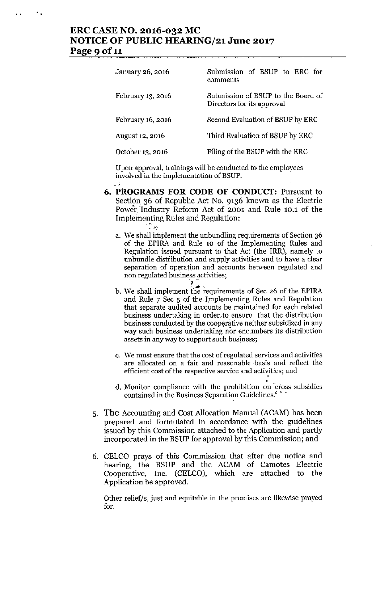# ERC CASE NO. 2016-032 MC NOTICE OF PUBLIC HEARING/21 June 2017 Page 9 of 11

- 1

 $\ddot{\phantom{a}}$ 

| January 26, 2016  | Submission of BSUP to ERC for<br>comments                        |
|-------------------|------------------------------------------------------------------|
| February 13, 2016 | Submission of BSUP to the Board of<br>Directors for its approval |
| February 16, 2016 | Second Evaluation of BSUP by ERC                                 |
| August 12, 2016   | Third Evaluation of BSUP by ERC                                  |
| October 13, 2016  | Filing of the BSUP with the ERC                                  |

Upon approval, trainings will be conducted to the employees involved in the implementation of RSUP.

- 6. PROGRAMS FOR CODE OF CONDUCf: Pursuant to Section 36 of Republic Act No. 9136 known as the Electric Power. 'Industry Reform Act of 2001 and Rule 10.1 of the Implementing Rules and Regulation:  $\sim$ 
	- a. We shall implement the unbundling requirements of Section 36 of the EPIRA and Rule 10 of the Implementing Rules and Regulation issued pursuant to that Act (the IRR), namely to unbundle distribution and supply activities and to have a clear separation of operation and accounts between regulated and non regulated business activities
	- $\cdot$  4  $\cdot$ b. We shall implement the requirements of Sec 26 of the EPIRA and Rule 7 Sec 5 of the. Implementing Rules and Regulation that separate audited accounts be maintained for each related business undertaking in order, to ensure that the distribution business conducted by the cooperative neither subsidized in any way such business undertaking nor encumbers its distribution assets in any way to support such business;
	- c. We must ensure that the cost of regulated services and activities are allocated on a fair and rcasonable .basis and reflect the efficient cost of the respective service and activities; and
	- d. Monitor compliance with the prohibition on cross-subsidie contained in the Business Separation Guidelines.'
- 5. The Accounting and Cost Allocation Mannal (ACAM) has been prepared and formulated in accordance with the guidelines issued by this Commission attached to the Application and partly incorporated in the BSUP for approval by this Commission; and
- 6. CELCO prays of this Commission that after due notice and hearing, the BSUP and the ACAM of Camotes Electric Cooperative, Inc. (CELCO), which are attached to the Application be approved.

Other relief/s, just and equitable in the premises are likewise prayed for.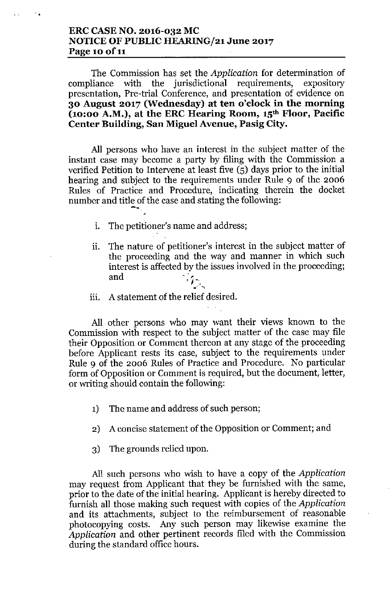# **ERC CASE NO. 2016-032 MC NOTICE OF PUBLIC HEARING/21 June 2017 Page 10 of 11**

The Commission has set the *Application* for determination of compliance with the jurisdictional requirements, expository presentation, Pre-trial Conference, and presentation of evidence on **30 August 2017 (Wednesday) at ten o'clock in the morning {10:00 A.M.}, at the ERC Hearing Room, 15th Floor, Pacific Center Building, San Miguel Avenue, Pasig City.**

All persons who have an interest in the subject matter of the instant case may become a party by filing with the Commission a verified Petition to Intervene at least five (5) days prior to the initial hearing and subject to the requirements under Rule 9 of the 2006 Rules of Practice and Procedure, indicating therein the docket number and title of the case and stating the following: **-.**

- i. The petitioner's name and address;
- ii. The nature of petitioner's interest in the subject matter of the proceeding and the way and manner in which such interest is affected by the issues involved in the proceeding; and *, 1-*
- $\mathcal{L}(\mathbf{x})$ iii. A statement of the relief desired.

All other persons who may want their views known to the Commission with respect to the subject matter of the case may file their Opposition or Comment thereon at any stage of the proceeding before Applicant rests its case, subject to the requirements under Rule 9 of the 2006 Rules of Practice and Procedure. No particular form of Opposition or Comment is required, but the document, letter, or writing should contain the following:

- 1) The name and address of such person;
- 2) A concise statement of the Opposition or Comment; and
- 3) The grounds relied upon.

All such persons who wish to have a copy of the *Application* may request from Applicant that they be furnished with the same, prior to the date of the initial hearing. Applicant is hereby directed to furnish all those making such request with copies of the *Application* and its attachments, subject to the reimbursement of reasonable photocopying costs. Any such person may likewise examine the *Application* and other pertinent records filed with the Commission during the standard office hours.